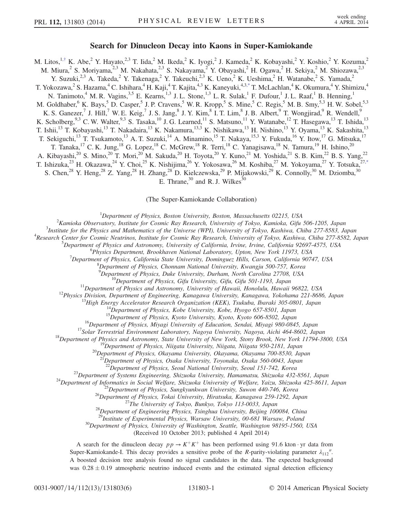## Search for Dinucleon Decay into Kaons in Super-Kamiokande

<span id="page-0-1"></span>M. Litos, <sup>1,[†](#page-4-0)</sup> K. Abe,<sup>2</sup> Y. Hayato,<sup>2,3</sup> T. Iida,<sup>2</sup> M. Ikeda,<sup>2</sup> K. Iyogi,<sup>2</sup> J. Kameda,<sup>2</sup> K. Kobayashi,<sup>2</sup> Y. Koshio,<sup>2</sup> Y. Kozuma,<sup>2</sup> M. Miura,<sup>2</sup> S. Moriyama,<sup>2,3</sup> M. Nakahata,<sup>2,3</sup> S. Nakayama,<sup>2</sup> Y. Obayashi,<sup>2</sup> H. Ogawa,<sup>2</sup> H. Sekiya,<sup>2</sup> M. Shiozawa,<sup>2,3</sup> Y. Suzuki,<sup>2,3</sup> A. Takeda,<sup>2</sup> Y. Takenaga,<sup>2</sup> Y. Takeuchi,<sup>2,3</sup> K. Ueno,<sup>2</sup> K. Ueshima,<sup>2</sup> H. Watanabe,<sup>2</sup> S. Yamada,<sup>2</sup> T. Yokozawa,<sup>2</sup> S. Hazama,<sup>4</sup> C. Ishihara,<sup>4</sup> H. Kaji,<sup>4</sup> T. Kajita,<sup>4,3</sup> K. Kaneyuki,<sup>4,3[,\\*](#page-4-1)</sup> T. McLachlan,<sup>4</sup> K. Okumura,<sup>4</sup> Y. Shimizu,<sup>4</sup> N. Tanimoto,<sup>4</sup> M. R. Vagins,<sup>3,5</sup> E. Kearns,<sup>1,3</sup> J. L. Stone,<sup>1,3</sup> L. R. Sulak,<sup>1</sup> F. Dufour,<sup>1</sup> J. L. Raaf,<sup>1</sup> B. Henning,<sup>1</sup> M. Goldhaber,<sup>6</sup> K. Bays,<sup>5</sup> D. Casper,<sup>5</sup> J. P. Cravens,<sup>5</sup> W. R. Kropp,<sup>5</sup> S. Mine,<sup>5</sup> C. Regis,<sup>5</sup> M. B. Smy,<sup>5,3</sup> H. W. Sobel,<sup>5,3</sup> K. S. Ganezer,<sup>7</sup> J. Hill,<sup>7</sup> W. E. Keig,<sup>7</sup> J. S. Jang,<sup>8</sup> J. Y. Kim,<sup>8</sup> I. T. Lim,<sup>8</sup> J. B. Albert,<sup>9</sup> T. Wongjirad,<sup>9</sup> R. Wendell,<sup>9</sup> K. Scholberg,  $9,3$  C. W. Walter,  $9,3$  S. Tasaka,  $^{10}$  J. G. Learned,  $^{11}$  S. Matsuno,  $^{11}$  Y. Watanabe,  $^{12}$  T. Hasegawa,  $^{13}$  T. Ishida,  $^{13}$ T. Ishii,<sup>13</sup> T. Kobayashi,<sup>13</sup> T. Nakadaira,<sup>13</sup> K. Nakamura,<sup>13,3</sup> K. Nishikawa,<sup>13</sup> H. Nishino,<sup>13</sup> Y. Oyama,<sup>13</sup> K. Sakashita,<sup>13</sup> T. Sekiguchi,<sup>13</sup> T. Tsukamoto,<sup>13</sup> A. T. Suzuki,<sup>14</sup> A. Minamino,<sup>15</sup> T. Nakaya,<sup>15,3</sup> Y. Fukuda,<sup>16</sup> Y. Itow,<sup>17</sup> G. Mitsuka,<sup>17</sup> T. Tanaka,<sup>17</sup> C. K. Jung,<sup>18</sup> G. Lopez,<sup>18</sup> C. McGrew,<sup>18</sup> R. Terri,<sup>18</sup> C. Yanagisawa,<sup>18</sup> N. Tamura,<sup>19</sup> H. Ishino,<sup>20</sup> A. Kibayashi,<sup>20</sup> S. Mino,<sup>20</sup> T. Mori,<sup>20</sup> M. Sakuda,<sup>20</sup> H. Toyota,<sup>20</sup> Y. Kuno,<sup>21</sup> M. Yoshida,<sup>21</sup> S. B. Kim,<sup>22</sup> B. S. Yang,<sup>22</sup> T. Ishizuka,<sup>23</sup> H. Okazawa,<sup>24</sup> Y. Choi,<sup>25</sup> K. Nishijima,<sup>26</sup> Y. Yokosawa,<sup>26</sup> M. Koshiba,<sup>27</sup> M. Yokoyama,<sup>27</sup> Y. Totsuka,<sup>27[,\\*](#page-4-1)</sup> S. Chen,<sup>28</sup> Y. Heng,<sup>28</sup> Z. Yang,<sup>28</sup> H. Zhang,<sup>28</sup> D. Kielczewska,<sup>29</sup> P. Mijakowski,<sup>29</sup> K. Connolly,<sup>30</sup> M. Dziomba,<sup>30</sup> E. Thrane,  $30$  and R. J. Wilkes  $30$ 

(The Super-Kamiokande Collaboration)

<span id="page-0-0"></span><sup>1</sup>Department of Physics, Boston University, Boston, Massachusetts 02215, USA<br><sup>2</sup>Kamieka Observatory, Institute for Cognie Pay Pesagrah, University of Tolyo, Kamieka, Cifu

<sup>2</sup> Kamioka Observatory, Institute for Cosmic Ray Research, University of Tokyo, Kamioka, Gifu 506-1205, Japan

 $3$ Institute for the Physics and Mathematics of the Universe (WPI), University of Tokyo, Kashiwa, Chiba 277-8583, Japan

<sup>4</sup>Research Center for Cosmic Neutrinos, Institute for Cosmic Ray Research, University of Tokyo, Kashiwa, Chiba 277-8582, Japan

<sup>5</sup>Department of Physics and Astronomy, University of California, Irvine, Irvine, California 92697-4575, USA

<sup>6</sup>Physics Department, Brookhaven National Laboratory, Upton, New York 11973, USA

<sup>7</sup>Department of Physics, California State University, Dominguez Hills, Carson, California 90747, USA

Department of Physics, Chonnam National University, Kwangju 500-757, Korea

<sup>9</sup>Department of Physics, Duke University, Durham, North Carolina 27708, USA

<sup>9</sup>Department of Physics, Duke University, Durham, North Carolina 27708, USA<br><sup>10</sup>Department of Physics, Gifu University, Gifu, Gifu 501-1193, Japan<br><sup>11</sup>Department of Physics and Astronomy, University of Hawaii, Honolulu, H

<sup>20</sup>Department of Physics, Okayama University, Okayama, Okayama 700-8530, Japan<sup>21</sup>Department of Physics, Osaka University, Toyonaka, Osaka 560-0043, Japan<sup>22</sup>Department of Physics, Seoul National University, Seoul 151-74

<sup>23</sup>Department of Systems Engineering, Shizuoka University, Hamamatsu, Shizuoka 432-8561, Japan<br><sup>24</sup>Department of Informatics in Social Welfare, Shizuoka University of Welfare, Yaizu, Shizuoka 425-8611, Japan<br><sup>25</sup>Departme

<sup>29</sup>Institute of Experimental Physics, Warsaw University, 00-681 Warsaw, Poland  ${}^{30}$ Department of Physics, University of Washington, Seattle, Washington 98195-1560, USA

(Received 10 October 2013; published 4 April 2014)

A search for the dinucleon decay  $pp \rightarrow K^+K^+$  has been performed using 91.6 kton · yr data from Super-Kamiokande-I. This decay provides a sensitive probe of the R-parity-violating parameter  $\lambda_{112}$ ". A boosted decision tree analysis found no signal candidates in the data. The expected background was  $0.28 \pm 0.19$  atmospheric neutrino induced events and the estimated signal detection efficiency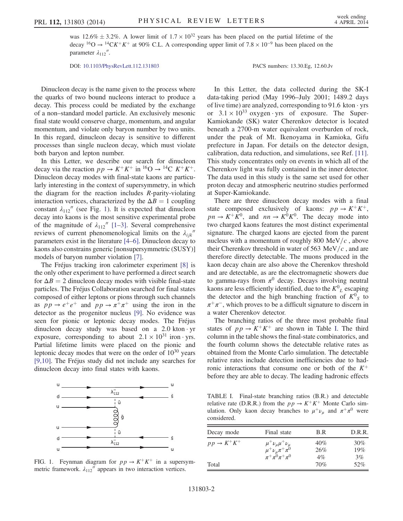was 12.6%  $\pm$  3.2%. A lower limit of  $1.7 \times 10^{32}$  years has been placed on the partial lifetime of the decay <sup>16</sup>O  $\rightarrow$  <sup>14</sup>CK<sup>+</sup>K<sup>+</sup> at 90% C.L. A corresponding upper limit of 7.8 × 10<sup>-9</sup> has been placed on the parameter  $\lambda_{112}$ ".

DOI: [10.1103/PhysRevLett.112.131803](http://dx.doi.org/10.1103/PhysRevLett.112.131803) PACS numbers: 13.30.Eg, 12.60.Jv

Dinucleon decay is the name given to the process where the quarks of two bound nucleons interact to produce a decay. This process could be mediated by the exchange of a non–standard model particle. An exclusively mesonic final state would conserve charge, momentum, and angular momentum, and violate only baryon number by two units. In this regard, dinucleon decay is sensitive to different processes than single nucleon decay, which must violate both baryon and lepton number.

In this Letter, we describe our search for dinucleon decay via the reaction  $pp \to K^+K^+$  in <sup>16</sup>O  $\to$  <sup>14</sup>C  $K^+K^+$ . Dinucleon decay modes with final-state kaons are particularly interesting in the context of supersymmetry, in which the diagram for the reaction includes  $$ interaction vertices, characterized by the  $\Delta B = 1$  coupling constant  $\lambda_{112}$ <sup>"</sup> (see Fig. [1\)](#page-1-0). It is expected that dinucleon decay into kaons is the most sensitive experimental probe of the magnitude of  $\lambda_{112}$ <sup>n</sup> [1–[3\]](#page-4-2). Several comprehensive reviews of current phenomenological limits on the  $\lambda_{ijk}$ <sup>n</sup> parameters exist in the literature [4–[6\].](#page-4-3) Dinucleon decay to kaons also constrains generic [nonsupersymmetric (SUSY)] models of baryon number violation [\[7\]](#page-4-4).

The Fréjus tracking iron calorimeter experiment [\[8\]](#page-4-5) is the only other experiment to have performed a direct search for  $\Delta B = 2$  dinucleon decay modes with visible final-state particles. The Fréjus Collaboration searched for final states composed of either leptons or pions through such channels as  $pp \rightarrow e^+e^+$  and  $pp \rightarrow \pi^+\pi^+$  using the iron in the detector as the progenitor nucleus [\[9\].](#page-5-0) No evidence was seen for pionic or leptonic decay modes. The Fréjus dinucleon decay study was based on a 2.0 kton · yr exposure, corresponding to about  $2.1 \times 10^{31}$  iron · yrs. Partial lifetime limits were placed on the pionic and leptonic decay modes that were on the order of  $10^{30}$  years [\[9,10\]](#page-5-0). The Fréjus study did not include any searches for dinucleon decay into final states with kaons.

<span id="page-1-0"></span>

FIG. 1. Feynman diagram for  $pp \rightarrow K^+K^+$  in a supersymmetric framework.  $\lambda_{112}$ <sup>"</sup> appears in two interaction vertices.

In this Letter, the data collected during the SK-I data-taking period (May 1996–July 2001; 1489.2 days of live time) are analyzed, corresponding to  $91.6$  kton  $\cdot$  yrs or  $3.1 \times 10^{33}$  oxygen · yrs of exposure. The Super-Kamiokande (SK) water Cherenkov detector is located beneath a 2700-m water equivalent overburden of rock, under the peak of Mt. Ikenoyama in Kamioka, Gifu prefecture in Japan. For details on the detector design, calibration, data reduction, and simulations, see Ref. [\[11\]](#page-5-1). This study concentrates only on events in which all of the Cherenkov light was fully contained in the inner detector. The data used in this study is the same set used for other proton decay and atmospheric neutrino studies performed at Super-Kamiokande.

There are three dinucleon decay modes with a final state composed exclusively of kaons:  $pp \rightarrow K^+K^+$ ,  $pn \to K^+ \bar{K}^0$ , and  $nn \to K^0 K^0$ . The decay mode into two charged kaons features the most distinct experimental signature. The charged kaons are ejected from the parent nucleus with a momentum of roughly 800 MeV/ $c$ , above their Cherenkov threshold in water of 563 MeV/ $c$ , and are therefore directly detectable. The muons produced in the kaon decay chain are also above the Cherenkov threshold and are detectable, as are the electromagnetic showers due to gamma-rays from  $\pi^0$  decay. Decays involving neutral kaons are less efficiently identified, due to the  $K^0_{\phantom{a}L}$  escaping the detector and the high branching fraction of  $K^0$ <sub>S</sub> to  $\pi^+\pi^-$ , which proves to be a difficult signature to discern in a water Cherenkov detector.

The branching ratios of the three most probable final states of  $pp \rightarrow K^+K^+$  are shown in Table [I.](#page-1-1) The third column in the table shows the final-state combinatorics, and the fourth column shows the detectable relative rates as obtained from the Monte Carlo simulation. The detectable relative rates include detection inefficiencies due to hadronic interactions that consume one or both of the  $K^+$ before they are able to decay. The leading hadronic effects

<span id="page-1-1"></span>TABLE I. Final-state branching ratios (B.R.) and detectable relative rate (D.R.R.) from the  $pp \rightarrow K^+K^+$  Monte Carlo simulation. Only kaon decay branches to  $\mu^+ \nu_\mu$  and  $\pi^+ \pi^0$  were considered.

| Decay mode                | Final state                                                                                              | B.R                 | D.R.R.              |
|---------------------------|----------------------------------------------------------------------------------------------------------|---------------------|---------------------|
| $p p \rightarrow K^+ K^+$ | $\mu^{+}\nu_{\mu}\mu^{+}\nu_{\mu}$<br>$\mu^{+}\nu_{\mu}\pi^{+}\pi^{0}$<br>$\pi^{+}\pi^{0}\pi^{+}\pi^{0}$ | 40%<br>26%<br>$4\%$ | $30\%$<br>19%<br>3% |
| Total                     |                                                                                                          | 70%                 | 52%                 |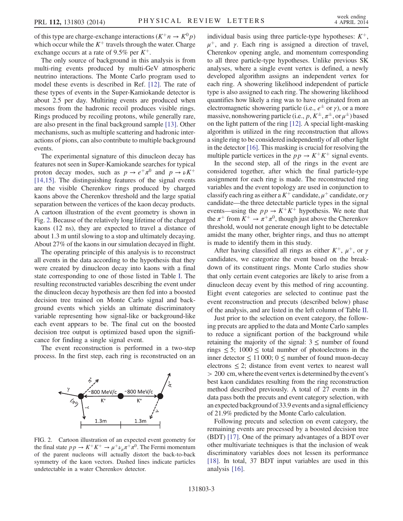of this type are charge-exchange interactions  $(K^+n \to K^0p)$ which occur while the  $K^+$  travels through the water. Charge exchange occurs at a rate of 9.5% per  $K^+$ .

The only source of background in this analysis is from multi-ring events produced by multi-GeV atmospheric neutrino interactions. The Monte Carlo program used to model these events is described in Ref. [\[12\]](#page-5-2). The rate of these types of events in the Super-Kamiokande detector is about 2.5 per day. Multiring events are produced when mesons from the hadronic recoil produces visible rings. Rings produced by recoiling protons, while generally rare, are also present in the final background sample [\[13\]](#page-5-3). Other mechanisms, such as multiple scattering and hadronic interactions of pions, can also contribute to multiple background events.

The experimental signature of this dinucleon decay has features not seen in Super-Kamiokande searches for typical proton decay modes, such as  $p \to e^+ \pi^0$  and  $p \to \nu K^+$ [\[14,15\]](#page-5-4). The distinguishing features of the signal events are the visible Cherenkov rings produced by charged kaons above the Cherenkov threshold and the large spatial separation between the vertices of the kaon decay products. A cartoon illustration of the event geometry is shown in Fig. [2.](#page-2-0) Because of the relatively long lifetime of the charged kaons (12 ns), they are expected to travel a distance of about 1.3 m until slowing to a stop and ultimately decaying. About 27% of the kaons in our simulation decayed in flight.

The operating principle of this analysis is to reconstruct all events in the data according to the hypothesis that they were created by dinucleon decay into kaons with a final state corresponding to one of those listed in Table [I.](#page-1-1) The resulting reconstructed variables describing the event under the dinucleon decay hypothesis are then fed into a boosted decision tree trained on Monte Carlo signal and background events which yields an ultimate discriminatory variable representing how signal-like or background-like each event appears to be. The final cut on the boosted decision tree output is optimized based upon the significance for finding a single signal event.

The event reconstruction is performed in a two-step process. In the first step, each ring is reconstructed on an

<span id="page-2-0"></span>

FIG. 2. Cartoon illustration of an expected event geometry for the final state  $pp \to K^+K^+ \to \mu^+\nu_\mu \pi^+\pi^0$ . The Fermi momentum of the parent nucleons will actually distort the back-to-back symmetry of the kaon vectors. Dashed lines indicate particles undetectable in a water Cherenkov detector.

individual basis using three particle-type hypotheses:  $K^+$ ,  $\mu^{+}$ , and γ. Each ring is assigned a direction of travel, Cherenkov opening angle, and momentum corresponding to all three particle-type hypotheses. Unlike previous SK analyses, where a single event vertex is defined, a newly developed algorithm assigns an independent vertex for each ring. A showering likelihood independent of particle type is also assigned to each ring. The showering likelihood quantifies how likely a ring was to have originated from an electromagnetic showering particle (i.e.,  $e^{\pm}$  or  $\gamma$ ), or a more massive, nonshowering particle (i.e.,  $p, K^{\pm}, \pi^{\pm}$ , or  $\mu^{\pm}$ ) based on the light pattern of the ring [\[12\]](#page-5-2). A special light-masking algorithm is utilized in the ring reconstruction that allows a single ring to be considered independently of all other light in the detector [\[16\].](#page-5-5) This masking is crucial for resolving the multiple particle vertices in the  $pp \rightarrow K^+K^+$  signal events.

In the second step, all of the rings in the event are considered together, after which the final particle-type assignment for each ring is made. The reconstructed ring variables and the event topology are used in conjunction to classify each ring as either a  $K^+$  candidate,  $\mu^+$  candidate, or  $\gamma$ candidate—the three detectable particle types in the signal events—using the  $pp \rightarrow K^+K^+$  hypothesis. We note that the  $\pi^+$  from  $K^+ \to \pi^+ \pi^0$ , though just above the Cherenkov threshold, would not generate enough light to be detectable amidst the many other, brighter rings, and thus no attempt is made to identify them in this study.

After having classified all rings as either  $K^+$ ,  $\mu^+$ , or  $\gamma$ candidates, we categorize the event based on the breakdown of its constituent rings. Monte Carlo studies show that only certain event categories are likely to arise from a dinucleon decay event by this method of ring accounting. Eight event categories are selected to continue past the event reconstruction and precuts (described below) phase of the analysis, and are listed in the left column of Table [II](#page-3-0).

Just prior to the selection on event category, the following precuts are applied to the data and Monte Carlo samples to reduce a significant portion of the background while retaining the majority of the signal:  $3 \le$  number of found rings  $\leq 5$ ; 1000  $\leq$  total number of photoelectrons in the inner detector ≤ 11 000; 0 ≤ number of found muon-decay electrons  $\leq$  2; distance from event vertex to nearest wall  $> 200$  cm, where the event vertex is determined by the event's best kaon candidates resulting from the ring reconstruction method described previously. A total of 27 events in the data pass both the precuts and event category selection, with an expected background of 33.9 events and a signal efficiency of 21.9% predicted by the Monte Carlo calculation.

Following precuts and selection on event category, the remaining events are processed by a boosted decision tree (BDT) [\[17\].](#page-5-6) One of the primary advantages of a BDT over other multivariate techniques is that the inclusion of weak discriminatory variables does not lessen its performance [\[18\]](#page-5-7). In total, 37 BDT input variables are used in this analysis [\[16\]](#page-5-5).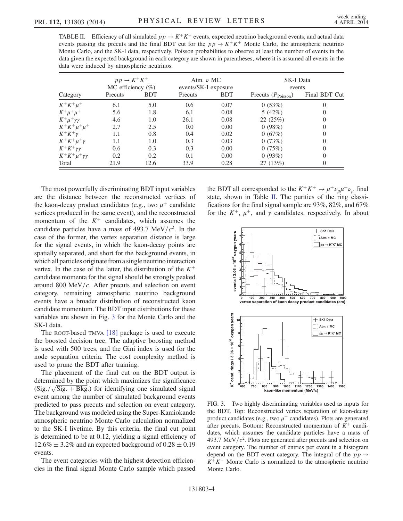<span id="page-3-0"></span>TABLE II. Efficiency of all simulated  $p p \rightarrow K^+ K^+$  events, expected neutrino background events, and actual data events passing the precuts and the final BDT cut for the  $pp \rightarrow K^+K^+$  Monte Carlo, the atmospheric neutrino Monte Carlo, and the SK-I data, respectively. Poisson probabilities to observe at least the number of events in the data given the expected background in each category are shown in parentheses, where it is assumed all events in the data were induced by atmospheric neutrinos.

|                           | $p p \rightarrow K^+ K^+$<br>MC efficiency $(\%)$ |            | Atm. $\nu$ MC<br>events/SK-I exposure |            | <b>SK-I Data</b><br>events     |               |
|---------------------------|---------------------------------------------------|------------|---------------------------------------|------------|--------------------------------|---------------|
| Category                  | Precuts                                           | <b>BDT</b> | Precuts                               | <b>BDT</b> | Precuts $(P_{\text{Poisson}})$ | Final BDT Cut |
| $K^+K^+\mu^+$             | 6.1                                               | 5.0        | 0.6                                   | 0.07       | 0(53%)                         | $\Omega$      |
| $K^+ \mu^+ \mu^+$         | 5.6                                               | 1.8        | 6.1                                   | 0.08       | 5 $(42%)$                      | $\Omega$      |
| $K^+\mu^+\gamma\gamma$    | 4.6                                               | 1.0        | 26.1                                  | 0.08       | 22(25%)                        | $\theta$      |
| $K^+K^+\mu^+\mu^+$        | 2.7                                               | 2.5        | 0.0                                   | 0.00       | 0(98%)                         | $\theta$      |
| $K^+K^+\gamma$            | 1.1                                               | 0.8        | 0.4                                   | 0.02       | 0(67%)                         | $\theta$      |
| $K^+K^+\mu^+\gamma$       | 1.1                                               | 1.0        | 0.3                                   | 0.03       | 0(73%)                         | 0             |
| $K^+K^+\gamma\gamma$      | 0.6                                               | 0.3        | 0.3                                   | 0.00       | 0(75%)                         | $\Omega$      |
| $K^+K^+\mu^+\gamma\gamma$ | 0.2                                               | 0.2        | 0.1                                   | 0.00       | 0(93%)                         | 0             |
| Total                     | 21.9                                              | 12.6       | 33.9                                  | 0.28       | 27(13%)                        | $\theta$      |

The most powerfully discriminating BDT input variables are the distance between the reconstructed vertices of the kaon-decay product candidates (e.g., two  $\mu^+$  candidate vertices produced in the same event), and the reconstructed momentum of the  $K^+$  candidates, which assumes the candidate particles have a mass of 493.7 MeV/ $c^2$ . In the case of the former, the vertex separation distance is large for the signal events, in which the kaon-decay points are spatially separated, and short for the background events, in which all particles originate from a single neutrino interaction vertex. In the case of the latter, the distribution of the  $K^+$ candidate momenta for the signal should be strongly peaked around 800 MeV/ $c$ . After precuts and selection on event category, remaining atmospheric neutrino background events have a broader distribution of reconstructed kaon candidate momentum. The BDT input distributions for these variables are shown in Fig. [3](#page-3-1) for the Monte Carlo and the SK-I data.

The ROOT-based TMVA [\[18\]](#page-5-7) package is used to execute the boosted decision tree. The adaptive boosting method is used with 500 trees, and the Gini index is used for the node separation criteria. The cost complexity method is used to prune the BDT after training.

The placement of the final cut on the BDT output is determined by the point which maximizes the significance  $(Sig. / \sqrt{Sig. + Bkg.})$  for identifying one simulated signal event among the number of simulated background events predicted to pass precuts and selection on event category. The background was modeled using the Super-Kamiokande atmospheric neutrino Monte Carlo calculation normalized to the SK-I livetime. By this criteria, the final cut point is determined to be at 0.12, yielding a signal efficiency of  $12.6\% \pm 3.2\%$  and an expected background of  $0.28 \pm 0.19$ events.

The event categories with the highest detection efficiencies in the final signal Monte Carlo sample which passed the BDT all corresponded to the  $K^+K^+ \rightarrow \mu^+\nu_\mu\mu^+\nu_\mu$  final state, shown in Table [II](#page-3-0). The purities of the ring classifications for the final signal sample are 93%, 82%, and 67% for the  $K^+$ ,  $\mu^+$ , and  $\gamma$  candidates, respectively. In about

<span id="page-3-1"></span>

FIG. 3. Two highly discriminating variables used as inputs for the BDT. Top: Reconstructed vertex separation of kaon-decay product candidates (e.g., two  $\mu^+$  candidates). Plots are generated after precuts. Bottom: Reconstructed momentum of  $K^+$  candidates, which assumes the candidate particles have a mass of 493.7 MeV/ $c^2$ . Plots are generated after precuts and selection on event category. The number of entries per event in a histogram depend on the BDT event category. The integral of the  $pp \rightarrow$  $K^+K^+$  Monte Carlo is normalized to the atmospheric neutrino Monte Carlo.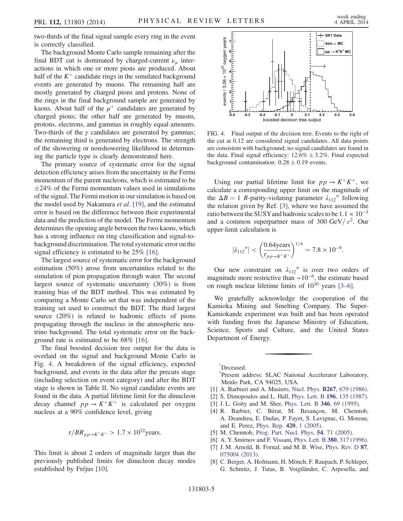two-thirds of the final signal sample every ring in the event is correctly classified.

The background Monte Carlo sample remaining after the final BDT cut is dominated by charged-current  $\nu_{\mu}$  interactions in which one or more pions are produced. About half of the  $K^+$  candidate rings in the simulated background events are generated by muons. The remaining half are mostly generated by charged pions and protons. None of the rings in the final background sample are generated by kaons. About half of the  $\mu^+$  candidates are generated by charged pions; the other half are generated by muons, protons, electrons, and gammas in roughly equal amounts. Two-thirds of the  $\gamma$  candidates are generated by gammas; the remaining third is generated by electrons. The strength of the showering or nonshowering likelihood in determining the particle type is clearly demonstrated here.

The primary source of systematic error for the signal detection efficiency arises from the uncertainty in the Fermi momentum of the parent nucleons, which is estimated to be  $\pm 24\%$  of the Fermi momentum values used in simulations of the signal. The Fermi motion in our simulation is based on the model used by Nakamura et al. [\[19\],](#page-5-8) and the estimated error is based on the difference between their experimental data and the prediction of the model. The Fermi momentum determines the opening angle between the two kaons, which has a strong influence on ring classification and signal-tobackground discrimination. The total systematic error on the signal efficiency is estimated to be 25% [\[16\].](#page-5-5)

The largest source of systematic error for the background estimation (50%) arose from uncertainties related to the simulation of pion propagation through water. The second largest source of systematic uncertainty (30%) is from training bias of the BDT method. This was estimated by comparing a Monte Carlo set that was independent of the training set used to construct the BDT. The third largest source (20%) is related to hadronic effects of pions propagating through the nucleus in the atmospheric neutrino background. The total systematic error on the background rate is estimated to be 68% [\[16\]](#page-5-5).

The final boosted decision tree output for the data is overlaid on the signal and background Monte Carlo in Fig. [4.](#page-4-6) A breakdown of the signal efficiency, expected background, and events in the data after the precuts stage (including selection on event category) and after the BDT stage is shown in Table [II.](#page-3-0) No signal candidate events are found in the data. A partial lifetime limit for the dinucleon decay channel  $pp \rightarrow K^+K^+$  is calculated per oxygen nucleus at a 90% confidence level, giving

$$
\tau/BR_{pp \to K^+K^+} > 1.7 \times 10^{32} \text{years}.
$$

This limit is about 2 orders of magnitude larger than the previously published limits for dinucleon decay modes established by Fréjus [\[10\].](#page-5-9)

<span id="page-4-6"></span>

FIG. 4. Final output of the decision tree. Events to the right of the cut at 0.12 are considered signal candidates. All data points are consistent with background; no signal candidates are found in the data. Final signal efficiency:  $12.6\% \pm 3.2\%$ . Final expected background contamination:  $0.28 \pm 0.19$  events.

Using our partial lifetime limit for  $p p \rightarrow K^+ K^+$ , we calculate a corresponding upper limit on the magnitude of the  $\Delta B = 1$  R-parity-violating parameter  $\lambda_{112}$ <sup>"</sup> following the relation given by Ref. [\[3\]](#page-4-7), where we have assumed the ratio between the SUSY and hadronic scales to be  $1.1 \times 10^{-3}$ and a common superpartner mass of 300 GeV/ $c^2$ . Our upper-limit calculation is

$$
|\lambda_{112}''| < \left(\frac{0.64 \text{years}}{\tau_{pp \to K^+ K^+}}\right)^{1/4} = 7.8 \times 10^{-9}.
$$

Our new constraint on  $\lambda_{112}$ <sup>"</sup> is over two orders of magnitude more restrictive than  $\sim 10^{-6}$ , the estimate based on rough nuclear lifetime limits of  $10^{30}$  years [\[3](#page-4-7)–6].

We gratefully acknowledge the cooperation of the Kamioka Mining and Smelting Company. The Super-Kamiokande experiment was built and has been operated with funding from the Japanese Ministry of Education, Science, Sports and Culture, and the United States Department of Energy.

<span id="page-4-1"></span><span id="page-4-0"></span>[\\*](#page-0-0) Deceased.

[†](#page-0-1) Present address: SLAC National Accelerator Laboratory, Menlo Park, CA 94025, USA.

- <span id="page-4-2"></span>[1] A. Barbieri and A. Masiero, Nucl. Phys. **B267**[, 679 \(1986\).](http://dx.doi.org/10.1016/0550-3213(86)90136-7)
- <span id="page-4-7"></span>[2] S. Dimopoulos and L. Hall, [Phys. Lett. B](http://dx.doi.org/10.1016/0370-2693(87)90593-4) 196, 135 (1987).
- <span id="page-4-3"></span>[3] J. L. Goity and M. Sher, [Phys. Lett. B](http://dx.doi.org/10.1016/0370-2693(94)01688-9) 346, 69 (1995).
- [4] R. Barbier, C. Bérat, M. Besançon, M. Chemtob, A. Deandrea, E. Dudas, P. Fayet, S. Lavignac, G. Moreau, and E. Perez, [Phys. Rep.](http://dx.doi.org/10.1016/j.physrep.2005.08.006) 420, 1 (2005).
- [5] M. Chemtob, [Prog. Part. Nucl. Phys.](http://dx.doi.org/10.1016/j.ppnp.2004.06.001) **54**, 71 (2005).
- <span id="page-4-4"></span>[6] A. Y. Smirnov and F. Vissani, *[Phys. Lett. B](http://dx.doi.org/10.1016/0370-2693(96)00495-9)* 380, 317 (1996).
- <span id="page-4-5"></span>[7] J. M. Arnold, B. Fornal, and M. B. Wise, [Phys. Rev. D](http://dx.doi.org/10.1103/PhysRevD.87.075004) 87, [075004 \(2013\).](http://dx.doi.org/10.1103/PhysRevD.87.075004)
- [8] C. Berger, A. Hofmann, H. Mönch, F. Raupach, P. Schleper, G. Schmitz, J. Tutas, B. Voigtländer, C. Arpesella, and